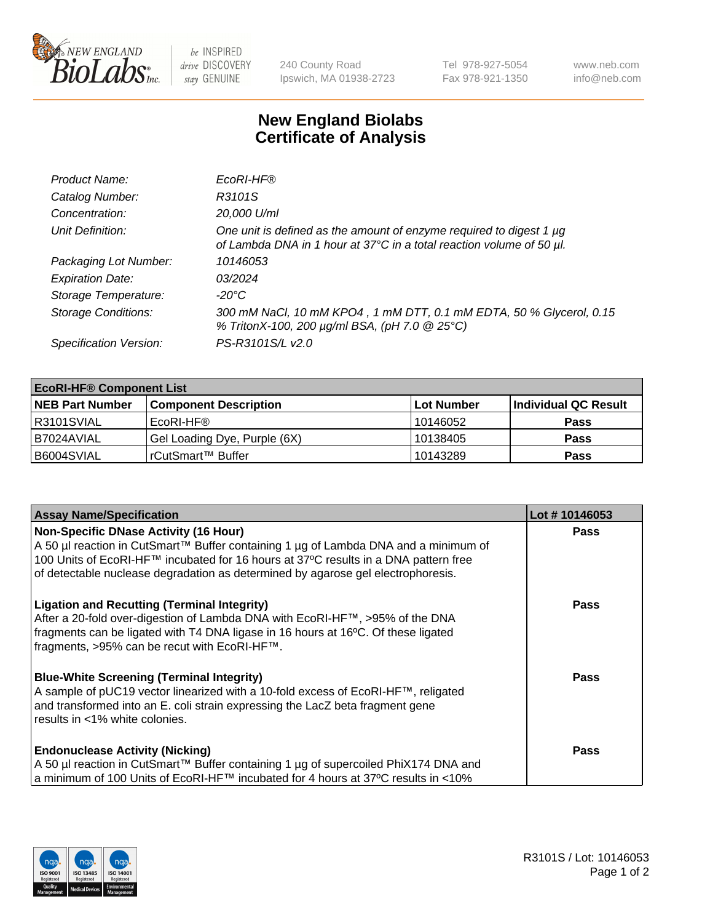

 $be$  INSPIRED drive DISCOVERY stay GENUINE

240 County Road Ipswich, MA 01938-2723 Tel 978-927-5054 Fax 978-921-1350 www.neb.com info@neb.com

## **New England Biolabs Certificate of Analysis**

| Product Name:              | EcoRI-HF®                                                                                                                                   |
|----------------------------|---------------------------------------------------------------------------------------------------------------------------------------------|
| Catalog Number:            | R3101S                                                                                                                                      |
| Concentration:             | 20,000 U/ml                                                                                                                                 |
| Unit Definition:           | One unit is defined as the amount of enzyme required to digest 1 µg<br>of Lambda DNA in 1 hour at 37°C in a total reaction volume of 50 µl. |
| Packaging Lot Number:      | 10146053                                                                                                                                    |
| <b>Expiration Date:</b>    | 03/2024                                                                                                                                     |
| Storage Temperature:       | -20°C                                                                                                                                       |
| <b>Storage Conditions:</b> | 300 mM NaCl, 10 mM KPO4, 1 mM DTT, 0.1 mM EDTA, 50 % Glycerol, 0.15<br>% TritonX-100, 200 µg/ml BSA, (pH 7.0 @ 25°C)                        |
| Specification Version:     | PS-R3101S/L v2.0                                                                                                                            |

| <b>EcoRI-HF® Component List</b> |                              |            |                      |  |  |
|---------------------------------|------------------------------|------------|----------------------|--|--|
| <b>NEB Part Number</b>          | <b>Component Description</b> | Lot Number | Individual QC Result |  |  |
| IR3101SVIAL                     | EcoRI-HF®                    | 10146052   | <b>Pass</b>          |  |  |
| I B7024AVIAL                    | Gel Loading Dye, Purple (6X) | 10138405   | <b>Pass</b>          |  |  |
| B6004SVIAL                      | l rCutSmart™ Buffer_         | 10143289   | <b>Pass</b>          |  |  |

| <b>Assay Name/Specification</b>                                                     | Lot #10146053 |
|-------------------------------------------------------------------------------------|---------------|
| <b>Non-Specific DNase Activity (16 Hour)</b>                                        | <b>Pass</b>   |
| A 50 µl reaction in CutSmart™ Buffer containing 1 µg of Lambda DNA and a minimum of |               |
| 100 Units of EcoRI-HF™ incubated for 16 hours at 37°C results in a DNA pattern free |               |
| of detectable nuclease degradation as determined by agarose gel electrophoresis.    |               |
| <b>Ligation and Recutting (Terminal Integrity)</b>                                  | Pass          |
| After a 20-fold over-digestion of Lambda DNA with EcoRI-HF™, >95% of the DNA        |               |
| fragments can be ligated with T4 DNA ligase in 16 hours at 16°C. Of these ligated   |               |
| fragments, >95% can be recut with EcoRI-HF™.                                        |               |
| <b>Blue-White Screening (Terminal Integrity)</b>                                    | Pass          |
| A sample of pUC19 vector linearized with a 10-fold excess of EcoRI-HF™, religated   |               |
| and transformed into an E. coli strain expressing the LacZ beta fragment gene       |               |
| results in <1% white colonies.                                                      |               |
| <b>Endonuclease Activity (Nicking)</b>                                              | <b>Pass</b>   |
| A 50 µl reaction in CutSmart™ Buffer containing 1 µg of supercoiled PhiX174 DNA and |               |
| a minimum of 100 Units of EcoRI-HF™ incubated for 4 hours at 37°C results in <10%   |               |